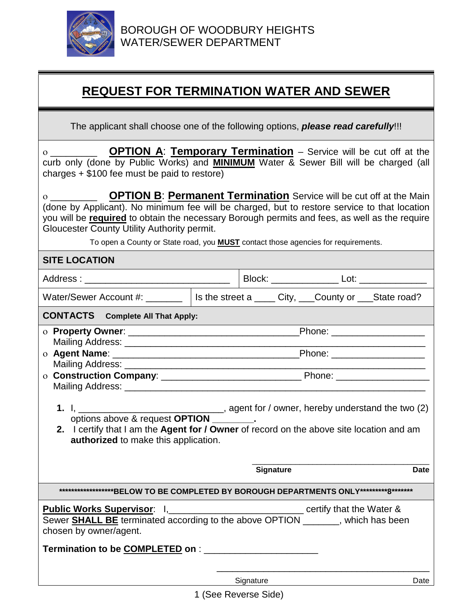

## **REQUEST FOR TERMINATION WATER AND SEWER**

The applicant shall choose one of the following options, *please read carefully*!!!

| <b>OPTION A: Temporary Termination</b> – Service will be cut off at the<br>curb only (done by Public Works) and <b>MINIMUM</b> Water & Sewer Bill will be charged (all<br>charges $+$ \$100 fee must be paid to restore)                                                                                                                                                                                                                                                                                                                                                                                                                                                                                                                                     |  |           |  |      |  |
|--------------------------------------------------------------------------------------------------------------------------------------------------------------------------------------------------------------------------------------------------------------------------------------------------------------------------------------------------------------------------------------------------------------------------------------------------------------------------------------------------------------------------------------------------------------------------------------------------------------------------------------------------------------------------------------------------------------------------------------------------------------|--|-----------|--|------|--|
| <b>OPTION B: Permanent Termination</b> Service will be cut off at the Main<br>$\overline{O}$ and $\overline{O}$ and $\overline{O}$ and $\overline{O}$ and $\overline{O}$ and $\overline{O}$ and $\overline{O}$ and $\overline{O}$ and $\overline{O}$ and $\overline{O}$ and $\overline{O}$ and $\overline{O}$ and $\overline{O}$ and $\overline{O}$ and $\overline{O}$ and $\overline{O}$ and $\overline{O}$ and<br>(done by Applicant). No minimum fee will be charged, but to restore service to that location<br>you will be required to obtain the necessary Borough permits and fees, as well as the require<br>Gloucester County Utility Authority permit.<br>To open a County or State road, you <b>MUST</b> contact those agencies for requirements. |  |           |  |      |  |
| <b>SITE LOCATION</b>                                                                                                                                                                                                                                                                                                                                                                                                                                                                                                                                                                                                                                                                                                                                         |  |           |  |      |  |
|                                                                                                                                                                                                                                                                                                                                                                                                                                                                                                                                                                                                                                                                                                                                                              |  |           |  |      |  |
| Water/Sewer Account #: _______   Is the street a ____ City, ___County or ___State road?                                                                                                                                                                                                                                                                                                                                                                                                                                                                                                                                                                                                                                                                      |  |           |  |      |  |
| <b>CONTACTS</b> Complete All That Apply:                                                                                                                                                                                                                                                                                                                                                                                                                                                                                                                                                                                                                                                                                                                     |  |           |  |      |  |
| 2. I certify that I am the Agent for / Owner of record on the above site location and am<br>authorized to make this application.<br><b>Signature</b><br>Date                                                                                                                                                                                                                                                                                                                                                                                                                                                                                                                                                                                                 |  |           |  |      |  |
| *******************BELOW TO BE COMPLETED BY BOROUGH DEPARTMENTS ONLY**********8******                                                                                                                                                                                                                                                                                                                                                                                                                                                                                                                                                                                                                                                                        |  |           |  |      |  |
| <b>Public Works Supervisor</b> : 1, __________________________________ certify that the Water &<br>Sewer <b>SHALL BE</b> terminated according to the above OPTION _______, which has been<br>chosen by owner/agent.                                                                                                                                                                                                                                                                                                                                                                                                                                                                                                                                          |  |           |  |      |  |
|                                                                                                                                                                                                                                                                                                                                                                                                                                                                                                                                                                                                                                                                                                                                                              |  | Signature |  | Date |  |